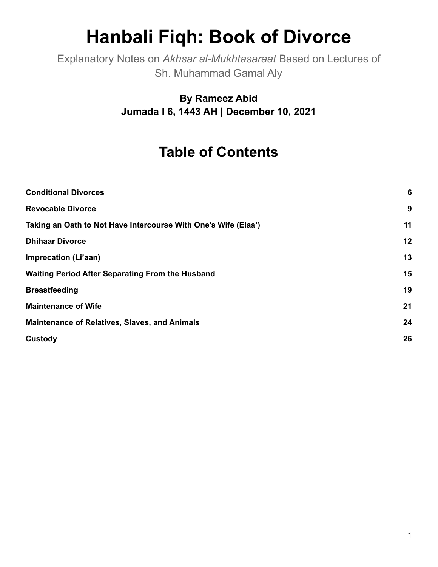# **Hanbali Fiqh: Book of Divorce**

Explanatory Notes on *Akhsar al-Mukhtasaraat* Based on Lectures of Sh. Muhammad Gamal Aly

> **By Rameez Abid Jumada I 6, 1443 AH | December 10, 2021**

# **Table of Contents**

| <b>Conditional Divorces</b>                                    | 6  |
|----------------------------------------------------------------|----|
| <b>Revocable Divorce</b>                                       | 9  |
| Taking an Oath to Not Have Intercourse With One's Wife (Elaa') | 11 |
| <b>Dhihaar Divorce</b>                                         | 12 |
| Imprecation (Li'aan)                                           | 13 |
| <b>Waiting Period After Separating From the Husband</b>        | 15 |
| <b>Breastfeeding</b>                                           | 19 |
| <b>Maintenance of Wife</b>                                     | 21 |
| <b>Maintenance of Relatives, Slaves, and Animals</b>           | 24 |
| Custody                                                        | 26 |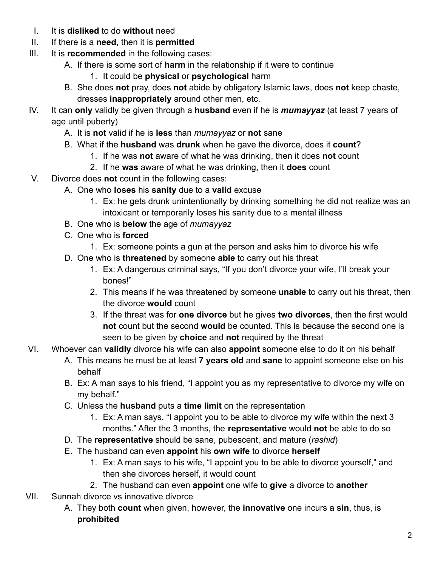- I. It is **disliked** to do **without** need
- II. If there is a **need**, then it is **permitted**
- III. It is **recommended** in the following cases:
	- A. If there is some sort of **harm** in the relationship if it were to continue
		- 1. It could be **physical** or **psychological** harm
	- B. She does **not** pray, does **not** abide by obligatory Islamic laws, does **not** keep chaste, dresses **inappropriately** around other men, etc.
- IV. It can **only** validly be given through a **husband** even if he is *mumayyaz* (at least 7 years of age until puberty)
	- A. It is **not** valid if he is **less** than *mumayyaz* or **not** sane
	- B. What if the **husband** was **drunk** when he gave the divorce, does it **count**?
		- 1. If he was **not** aware of what he was drinking, then it does **not** count
		- 2. If he **was** aware of what he was drinking, then it **does** count
- V. Divorce does **not** count in the following cases:
	- A. One who **loses** his **sanity** due to a **valid** excuse
		- 1. Ex: he gets drunk unintentionally by drinking something he did not realize was an intoxicant or temporarily loses his sanity due to a mental illness
	- B. One who is **below** the age of *mumayyaz*
	- C. One who is **forced**
		- 1. Ex: someone points a gun at the person and asks him to divorce his wife
	- D. One who is **threatened** by someone **able** to carry out his threat
		- 1. Ex: A dangerous criminal says, "If you don't divorce your wife, I'll break your bones!"
		- 2. This means if he was threatened by someone **unable** to carry out his threat, then the divorce **would** count
		- 3. If the threat was for **one divorce** but he gives **two divorces**, then the first would **not** count but the second **would** be counted. This is because the second one is seen to be given by **choice** and **not** required by the threat
- VI. Whoever can **validly** divorce his wife can also **appoint** someone else to do it on his behalf
	- A. This means he must be at least **7 years old** and **sane** to appoint someone else on his behalf
	- B. Ex: A man says to his friend, "I appoint you as my representative to divorce my wife on my behalf."
	- C. Unless the **husband** puts a **time limit** on the representation
		- 1. Ex: A man says, "I appoint you to be able to divorce my wife within the next 3 months." After the 3 months, the **representative** would **not** be able to do so
	- D. The **representative** should be sane, pubescent, and mature (*rashid*)
	- E. The husband can even **appoint** his **own wife** to divorce **herself**
		- 1. Ex: A man says to his wife, "I appoint you to be able to divorce yourself," and then she divorces herself, it would count
		- 2. The husband can even **appoint** one wife to **give** a divorce to **another**
- VII. Sunnah divorce vs innovative divorce
	- A. They both **count** when given, however, the **innovative** one incurs a **sin**, thus, is **prohibited**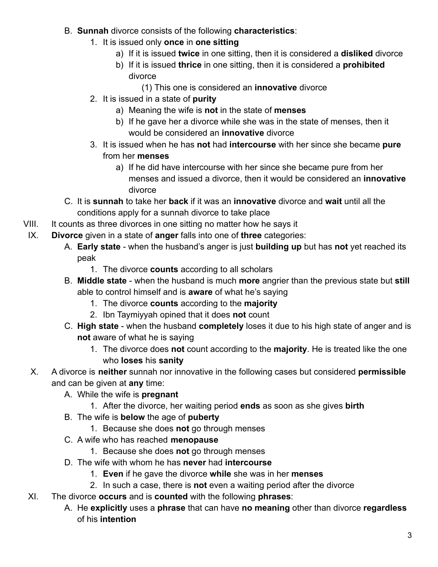- B. **Sunnah** divorce consists of the following **characteristics**:
	- 1. It is issued only **once** in **one sitting**
		- a) If it is issued **twice** in one sitting, then it is considered a **disliked** divorce
		- b) If it is issued **thrice** in one sitting, then it is considered a **prohibited** divorce
			- (1) This one is considered an **innovative** divorce
	- 2. It is issued in a state of **purity**
		- a) Meaning the wife is **not** in the state of **menses**
		- b) If he gave her a divorce while she was in the state of menses, then it would be considered an **innovative** divorce
	- 3. It is issued when he has **not** had **intercourse** with her since she became **pure** from her **menses**
		- a) If he did have intercourse with her since she became pure from her menses and issued a divorce, then it would be considered an **innovative** divorce
- C. It is **sunnah** to take her **back** if it was an **innovative** divorce and **wait** until all the conditions apply for a sunnah divorce to take place
- VIII. It counts as three divorces in one sitting no matter how he says it
- IX. **Divorce** given in a state of **anger** falls into one of **three** categories:
	- A. **Early state** when the husband's anger is just **building up** but has **not** yet reached its peak
		- 1. The divorce **counts** according to all scholars
	- B. **Middle state** when the husband is much **more** angrier than the previous state but **still** able to control himself and is **aware** of what he's saying
		- 1. The divorce **counts** according to the **majority**
		- 2. Ibn Taymiyyah opined that it does **not** count
	- C. **High state** when the husband **completely** loses it due to his high state of anger and is **not** aware of what he is saying
		- 1. The divorce does **not** count according to the **majority**. He is treated like the one who **loses** his **sanity**
	- X. A divorce is **neither** sunnah nor innovative in the following cases but considered **permissible** and can be given at **any** time:
		- A. While the wife is **pregnant**
			- 1. After the divorce, her waiting period **ends** as soon as she gives **birth**
		- B. The wife is **below** the age of **puberty**
			- 1. Because she does **not** go through menses
		- C. A wife who has reached **menopause**
			- 1. Because she does **not** go through menses
		- D. The wife with whom he has **never** had **intercourse**
			- 1. **Even** if he gave the divorce **while** she was in her **menses**
			- 2. In such a case, there is **not** even a waiting period after the divorce
- XI. The divorce **occurs** and is **counted** with the following **phrases**:
	- A. He **explicitly** uses a **phrase** that can have **no meaning** other than divorce **regardless** of his **intention**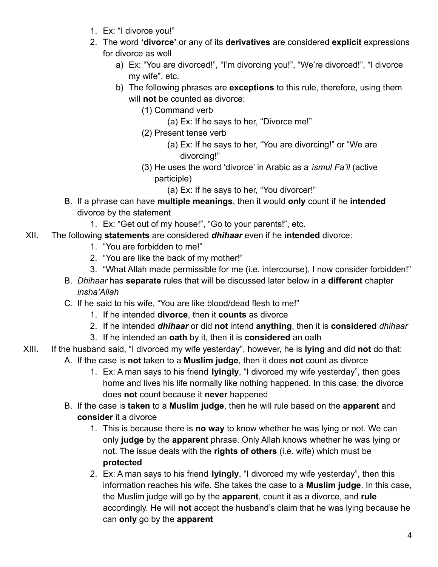- 1. Ex: "I divorce you!"
- 2. The word **'divorce'** or any of its **derivatives** are considered **explicit** expressions for divorce as well
	- a) Ex: "You are divorced!", "I'm divorcing you!", "We're divorced!", "I divorce my wife", etc.
	- b) The following phrases are **exceptions** to this rule, therefore, using them will **not** be counted as divorce:
		- (1) Command verb
			- (a) Ex: If he says to her, "Divorce me!"
		- (2) Present tense verb
			- (a) Ex: If he says to her, "You are divorcing!" or "We are divorcing!"
		- (3) He uses the word 'divorce' in Arabic as a *ismul Fa'il* (active participle)
			- (a) Ex: If he says to her, "You divorcer!"
- B. If a phrase can have **multiple meanings**, then it would **only** count if he **intended** divorce by the statement
	- 1. Ex: "Get out of my house!", "Go to your parents!", etc.
- XII. The following **statements** are considered *dhihaar* even if he **intended** divorce:
	- 1. "You are forbidden to me!"
	- 2. "You are like the back of my mother!"
	- 3. "What Allah made permissible for me (i.e. intercourse), I now consider forbidden!"
	- B. *Dhihaar* has **separate** rules that will be discussed later below in a **different** chapter *insha'Allah*
	- C. If he said to his wife, "You are like blood/dead flesh to me!"
		- 1. If he intended **divorce**, then it **counts** as divorce
		- 2. If he intended *dhihaar* or did **not** intend **anything**, then it is **considered** *dhihaar*
		- 3. If he intended an **oath** by it, then it is **considered** an oath
- XIII. If the husband said, "I divorced my wife yesterday", however, he is **lying** and did **not** do that:
	- A. If the case is **not** taken to a **Muslim judge**, then it does **not** count as divorce
		- 1. Ex: A man says to his friend **lyingly**, "I divorced my wife yesterday", then goes home and lives his life normally like nothing happened. In this case, the divorce does **not** count because it **never** happened
	- B. If the case is **taken** to a **Muslim judge**, then he will rule based on the **apparent** and **consider** it a divorce
		- 1. This is because there is **no way** to know whether he was lying or not. We can only **judge** by the **apparent** phrase. Only Allah knows whether he was lying or not. The issue deals with the **rights of others** (i.e. wife) which must be **protected**
		- 2. Ex: A man says to his friend **lyingly**, "I divorced my wife yesterday", then this information reaches his wife. She takes the case to a **Muslim judge**. In this case, the Muslim judge will go by the **apparent**, count it as a divorce, and **rule** accordingly. He will **not** accept the husband's claim that he was lying because he can **only** go by the **apparent**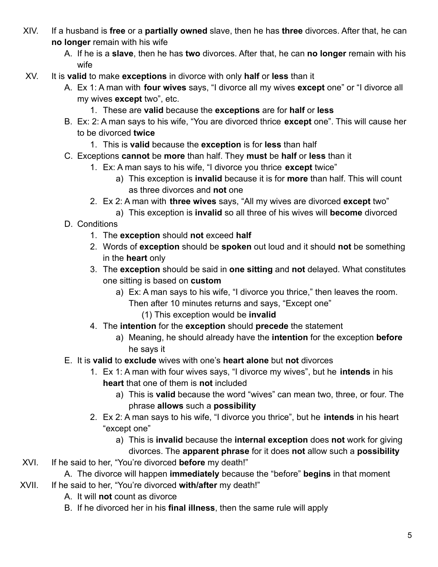- XIV. If a husband is **free** or a **partially owned** slave, then he has **three** divorces. After that, he can **no longer** remain with his wife
	- A. If he is a **slave**, then he has **two** divorces. After that, he can **no longer** remain with his wife
- XV. It is **valid** to make **exceptions** in divorce with only **half** or **less** than it
	- A. Ex 1: A man with **four wives** says, "I divorce all my wives **except** one" or "I divorce all my wives **except** two", etc.
		- 1. These are **valid** because the **exceptions** are for **half** or **less**
	- B. Ex: 2: A man says to his wife, "You are divorced thrice **except** one". This will cause her to be divorced **twice**
		- 1. This is **valid** because the **exception** is for **less** than half
	- C. Exceptions **cannot** be **more** than half. They **must** be **half** or **less** than it
		- 1. Ex: A man says to his wife, "I divorce you thrice **except** twice"
			- a) This exception is **invalid** because it is for **more** than half. This will count as three divorces and **not** one
		- 2. Ex 2: A man with **three wives** says, "All my wives are divorced **except** two"
			- a) This exception is **invalid** so all three of his wives will **become** divorced
	- D. Conditions
		- 1. The **exception** should **not** exceed **half**
		- 2. Words of **exception** should be **spoken** out loud and it should **not** be something in the **heart** only
		- 3. The **exception** should be said in **one sitting** and **not** delayed. What constitutes one sitting is based on **custom**
			- a) Ex: A man says to his wife, "I divorce you thrice," then leaves the room. Then after 10 minutes returns and says, "Except one"
				- (1) This exception would be **invalid**
		- 4. The **intention** for the **exception** should **precede** the statement
			- a) Meaning, he should already have the **intention** for the exception **before** he says it
	- E. It is **valid** to **exclude** wives with one's **heart alone** but **not** divorces
		- 1. Ex 1: A man with four wives says, "I divorce my wives", but he **intends** in his **heart** that one of them is **not** included
			- a) This is **valid** because the word "wives" can mean two, three, or four. The phrase **allows** such a **possibility**
		- 2. Ex 2: A man says to his wife, "I divorce you thrice", but he **intends** in his heart "except one"
			- a) This is **invalid** because the **internal exception** does **not** work for giving divorces. The **apparent phrase** for it does **not** allow such a **possibility**
- XVI. If he said to her, "You're divorced **before** my death!"

A. The divorce will happen **immediately** because the "before" **begins** in that moment XVII. If he said to her, "You're divorced **with/after** my death!"

- A. It will **not** count as divorce
- B. If he divorced her in his **final illness**, then the same rule will apply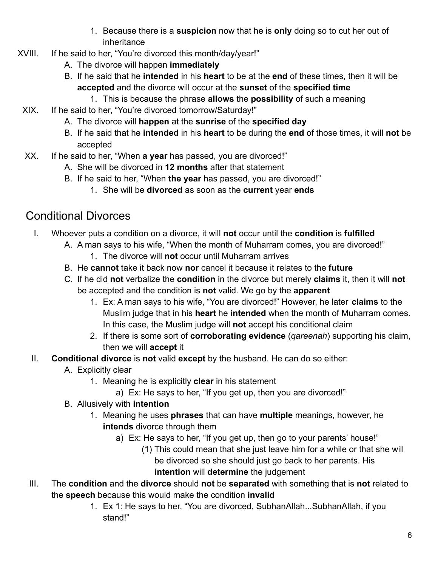- 1. Because there is a **suspicion** now that he is **only** doing so to cut her out of inheritance
- XVIII. If he said to her, "You're divorced this month/day/year!"
	- A. The divorce will happen **immediately**
	- B. If he said that he **intended** in his **heart** to be at the **end** of these times, then it will be **accepted** and the divorce will occur at the **sunset** of the **specified time**
		- 1. This is because the phrase **allows** the **possibility** of such a meaning
	- XIX. If he said to her, "You're divorced tomorrow/Saturday!"
		- A. The divorce will **happen** at the **sunrise** of the **specified day**
		- B. If he said that he **intended** in his **heart** to be during the **end** of those times, it will **not** be accepted
	- XX. If he said to her, "When **a year** has passed, you are divorced!"
		- A. She will be divorced in **12 months** after that statement
		- B. If he said to her, "When **the year** has passed, you are divorced!"
			- 1. She will be **divorced** as soon as the **current** year **ends**

## <span id="page-5-0"></span>Conditional Divorces

- I. Whoever puts a condition on a divorce, it will **not** occur until the **condition** is **fulfilled**
	- A. A man says to his wife, "When the month of Muharram comes, you are divorced!"
		- 1. The divorce will **not** occur until Muharram arrives
	- B. He **cannot** take it back now **nor** cancel it because it relates to the **future**
	- C. If he did **not** verbalize the **condition** in the divorce but merely **claims** it, then it will **not** be accepted and the condition is **not** valid. We go by the **apparent**
		- 1. Ex: A man says to his wife, "You are divorced!" However, he later **claims** to the Muslim judge that in his **heart** he **intended** when the month of Muharram comes. In this case, the Muslim judge will **not** accept his conditional claim
		- 2. If there is some sort of **corroborating evidence** (*qareenah*) supporting his claim, then we will **accept** it
- II. **Conditional divorce** is **not** valid **except** by the husband. He can do so either:
	- A. Explicitly clear
		- 1. Meaning he is explicitly **clear** in his statement
			- a) Ex: He says to her, "If you get up, then you are divorced!"
	- B. Allusively with **intention**
		- 1. Meaning he uses **phrases** that can have **multiple** meanings, however, he **intends** divorce through them
			- a) Ex: He says to her, "If you get up, then go to your parents' house!"
				- (1) This could mean that she just leave him for a while or that she will be divorced so she should just go back to her parents. His **intention** will **determine** the judgement
- III. The **condition** and the **divorce** should **not** be **separated** with something that is **not** related to the **speech** because this would make the condition **invalid**
	- 1. Ex 1: He says to her, "You are divorced, SubhanAllah...SubhanAllah, if you stand!"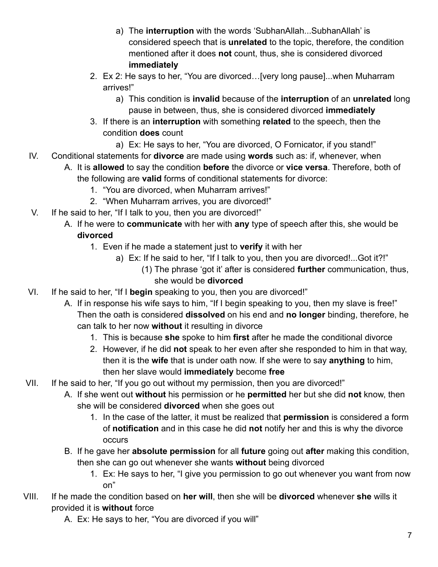- a) The **interruption** with the words 'SubhanAllah...SubhanAllah' is considered speech that is **unrelated** to the topic, therefore, the condition mentioned after it does **not** count, thus, she is considered divorced **immediately**
- 2. Ex 2: He says to her, "You are divorced…[very long pause]...when Muharram arrives!"
	- a) This condition is **invalid** because of the **interruption** of an **unrelated** long pause in between, thus, she is considered divorced **immediately**
- 3. If there is an **interruption** with something **related** to the speech, then the condition **does** count
	- a) Ex: He says to her, "You are divorced, O Fornicator, if you stand!"
- IV. Conditional statements for **divorce** are made using **words** such as: if, whenever, when
	- A. It is **allowed** to say the condition **before** the divorce or **vice versa**. Therefore, both of the following are **valid** forms of conditional statements for divorce:
		- 1. "You are divorced, when Muharram arrives!"
		- 2. "When Muharram arrives, you are divorced!"
- V. If he said to her, "If I talk to you, then you are divorced!"
	- A. If he were to **communicate** with her with **any** type of speech after this, she would be **divorced**
		- 1. Even if he made a statement just to **verify** it with her
			- a) Ex: If he said to her, "If I talk to you, then you are divorced!...Got it?!"
				- (1) The phrase 'got it' after is considered **further** communication, thus, she would be **divorced**
- VI. If he said to her, "If I **begin** speaking to you, then you are divorced!"
	- A. If in response his wife says to him, "If I begin speaking to you, then my slave is free!" Then the oath is considered **dissolved** on his end and **no longer** binding, therefore, he can talk to her now **without** it resulting in divorce
		- 1. This is because **she** spoke to him **first** after he made the conditional divorce
		- 2. However, if he did **not** speak to her even after she responded to him in that way, then it is the **wife** that is under oath now. If she were to say **anything** to him, then her slave would **immediately** become **free**
- VII. If he said to her, "If you go out without my permission, then you are divorced!"
	- A. If she went out **without** his permission or he **permitted** her but she did **not** know, then she will be considered **divorced** when she goes out
		- 1. In the case of the latter, it must be realized that **permission** is considered a form of **notification** and in this case he did **not** notify her and this is why the divorce occurs
	- B. If he gave her **absolute permission** for all **future** going out **after** making this condition, then she can go out whenever she wants **without** being divorced
		- 1. Ex: He says to her, "I give you permission to go out whenever you want from now on"
- VIII. If he made the condition based on **her will**, then she will be **divorced** whenever **she** wills it provided it is **without** force
	- A. Ex: He says to her, "You are divorced if you will"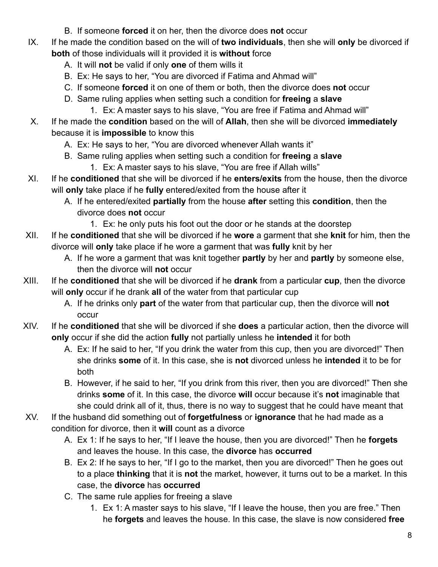- B. If someone **forced** it on her, then the divorce does **not** occur
- IX. If he made the condition based on the will of **two individuals**, then she will **only** be divorced if **both** of those individuals will it provided it is **without** force
	- A. It will **not** be valid if only **one** of them wills it
	- B. Ex: He says to her, "You are divorced if Fatima and Ahmad will"
	- C. If someone **forced** it on one of them or both, then the divorce does **not** occur
	- D. Same ruling applies when setting such a condition for **freeing** a **slave**
		- 1. Ex: A master says to his slave, "You are free if Fatima and Ahmad will"
- X. If he made the **condition** based on the will of **Allah**, then she will be divorced **immediately** because it is **impossible** to know this
	- A. Ex: He says to her, "You are divorced whenever Allah wants it"
	- B. Same ruling applies when setting such a condition for **freeing** a **slave**
		- 1. Ex: A master says to his slave, "You are free if Allah wills"
- XI. If he **conditioned** that she will be divorced if he **enters/exits** from the house, then the divorce will **only** take place if he **fully** entered/exited from the house after it
	- A. If he entered/exited **partially** from the house **after** setting this **condition**, then the divorce does **not** occur
		- 1. Ex: he only puts his foot out the door or he stands at the doorstep
- XII. If he **conditioned** that she will be divorced if he **wore** a garment that she **knit** for him, then the divorce will **only** take place if he wore a garment that was **fully** knit by her
	- A. If he wore a garment that was knit together **partly** by her and **partly** by someone else, then the divorce will **not** occur
- XIII. If he **conditioned** that she will be divorced if he **drank** from a particular **cup**, then the divorce will **only** occur if he drank **all** of the water from that particular cup
	- A. If he drinks only **part** of the water from that particular cup, then the divorce will **not** occur
- XIV. If he **conditioned** that she will be divorced if she **does** a particular action, then the divorce will **only** occur if she did the action **fully** not partially unless he **intended** it for both
	- A. Ex: If he said to her, "If you drink the water from this cup, then you are divorced!" Then she drinks **some** of it. In this case, she is **not** divorced unless he **intended** it to be for both
	- B. However, if he said to her, "If you drink from this river, then you are divorced!" Then she drinks **some** of it. In this case, the divorce **will** occur because it's **not** imaginable that she could drink all of it, thus, there is no way to suggest that he could have meant that
- XV. If the husband did something out of **forgetfulness** or **ignorance** that he had made as a condition for divorce, then it **will** count as a divorce
	- A. Ex 1: If he says to her, "If I leave the house, then you are divorced!" Then he **forgets** and leaves the house. In this case, the **divorce** has **occurred**
	- B. Ex 2: If he says to her, "If I go to the market, then you are divorced!" Then he goes out to a place **thinking** that it is **not** the market, however, it turns out to be a market. In this case, the **divorce** has **occurred**
	- C. The same rule applies for freeing a slave
		- 1. Ex 1: A master says to his slave, "If I leave the house, then you are free." Then he **forgets** and leaves the house. In this case, the slave is now considered **free**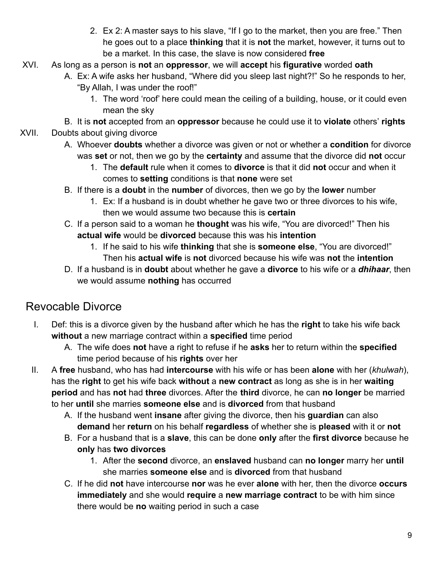- 2. Ex 2: A master says to his slave, "If I go to the market, then you are free." Then he goes out to a place **thinking** that it is **not** the market, however, it turns out to be a market. In this case, the slave is now considered **free**
- XVI. As long as a person is **not** an **oppressor**, we will **accept** his **figurative** worded **oath**
	- A. Ex: A wife asks her husband, "Where did you sleep last night?!" So he responds to her, "By Allah, I was under the roof!"
		- 1. The word 'roof' here could mean the ceiling of a building, house, or it could even mean the sky
	- B. It is **not** accepted from an **oppressor** because he could use it to **violate** others' **rights**
- XVII. Doubts about giving divorce
	- A. Whoever **doubts** whether a divorce was given or not or whether a **condition** for divorce was **set** or not, then we go by the **certainty** and assume that the divorce did **not** occur
		- 1. The **default** rule when it comes to **divorce** is that it did **not** occur and when it comes to **setting** conditions is that **none** were set
	- B. If there is a **doubt** in the **number** of divorces, then we go by the **lower** number
		- 1. Ex: If a husband is in doubt whether he gave two or three divorces to his wife, then we would assume two because this is **certain**
	- C. If a person said to a woman he **thought** was his wife, "You are divorced!" Then his **actual wife** would be **divorced** because this was his **intention**
		- 1. If he said to his wife **thinking** that she is **someone else**, "You are divorced!" Then his **actual wife** is **not** divorced because his wife was **not** the **intention**
	- D. If a husband is in **doubt** about whether he gave a **divorce** to his wife or a *dhihaar*, then we would assume **nothing** has occurred

## <span id="page-8-0"></span>Revocable Divorce

- I. Def: this is a divorce given by the husband after which he has the **right** to take his wife back **without** a new marriage contract within a **specified** time period
	- A. The wife does **not** have a right to refuse if he **asks** her to return within the **specified** time period because of his **rights** over her
- II. A **free** husband, who has had **intercourse** with his wife or has been **alone** with her (*khulwah*), has the **right** to get his wife back **without** a **new contract** as long as she is in her **waiting period** and has **not** had **three** divorces. After the **third** divorce, he can **no longer** be married to her **until** she marries **someone else** and is **divorced** from that husband
	- A. If the husband went **insane** after giving the divorce, then his **guardian** can also **demand** her **return** on his behalf **regardless** of whether she is **pleased** with it or **not**
	- B. For a husband that is a **slave**, this can be done **only** after the **first divorce** because he **only** has **two divorces**
		- 1. After the **second** divorce, an **enslaved** husband can **no longer** marry her **until** she marries **someone else** and is **divorced** from that husband
	- C. If he did **not** have intercourse **nor** was he ever **alone** with her, then the divorce **occurs immediately** and she would **require** a **new marriage contract** to be with him since there would be **no** waiting period in such a case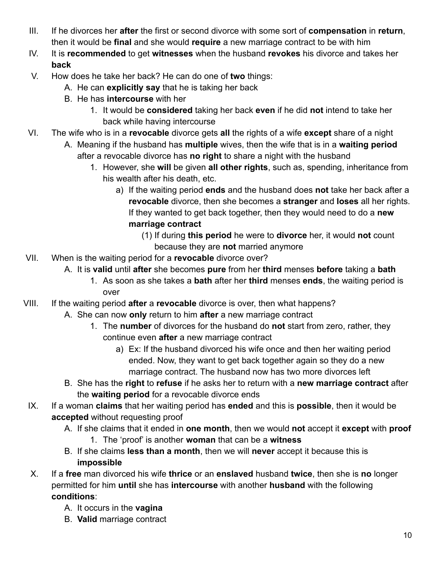- III. If he divorces her **after** the first or second divorce with some sort of **compensation** in **return**, then it would be **final** and she would **require** a new marriage contract to be with him
- IV. It is **recommended** to get **witnesses** when the husband **revokes** his divorce and takes her **back**
- V. How does he take her back? He can do one of **two** things:
	- A. He can **explicitly say** that he is taking her back
	- B. He has **intercourse** with her
		- 1. It would be **considered** taking her back **even** if he did **not** intend to take her back while having intercourse
- VI. The wife who is in a **revocable** divorce gets **all** the rights of a wife **except** share of a night
	- A. Meaning if the husband has **multiple** wives, then the wife that is in a **waiting period** after a revocable divorce has **no right** to share a night with the husband
		- 1. However, she **will** be given **all other rights**, such as, spending, inheritance from his wealth after his death, etc.
			- a) If the waiting period **ends** and the husband does **not** take her back after a **revocable** divorce, then she becomes a **stranger** and **loses** all her rights. If they wanted to get back together, then they would need to do a **new marriage contract**
				- (1) If during **this period** he were to **divorce** her, it would **not** count because they are **not** married anymore
- VII. When is the waiting period for a **revocable** divorce over?
	- A. It is **valid** until **after** she becomes **pure** from her **third** menses **before** taking a **bath**
		- 1. As soon as she takes a **bath** after her **third** menses **ends**, the waiting period is over
- VIII. If the waiting period **after** a **revocable** divorce is over, then what happens?
	- A. She can now **only** return to him **after** a new marriage contract
		- 1. The **number** of divorces for the husband do **not** start from zero, rather, they continue even **after** a new marriage contract
			- a) Ex: If the husband divorced his wife once and then her waiting period ended. Now, they want to get back together again so they do a new marriage contract. The husband now has two more divorces left
	- B. She has the **right** to **refuse** if he asks her to return with a **new marriage contract** after the **waiting period** for a revocable divorce ends
	- IX. If a woman **claims** that her waiting period has **ended** and this is **possible**, then it would be **accepted** without requesting proof
		- A. If she claims that it ended in **one month**, then we would **not** accept it **except** with **proof**
			- 1. The 'proof' is another **woman** that can be a **witness**
		- B. If she claims **less than a month**, then we will **never** accept it because this is **impossible**
	- X. If a **free** man divorced his wife **thrice** or an **enslaved** husband **twice**, then she is **no** longer permitted for him **until** she has **intercourse** with another **husband** with the following **conditions**:
		- A. It occurs in the **vagina**
		- B. **Valid** marriage contract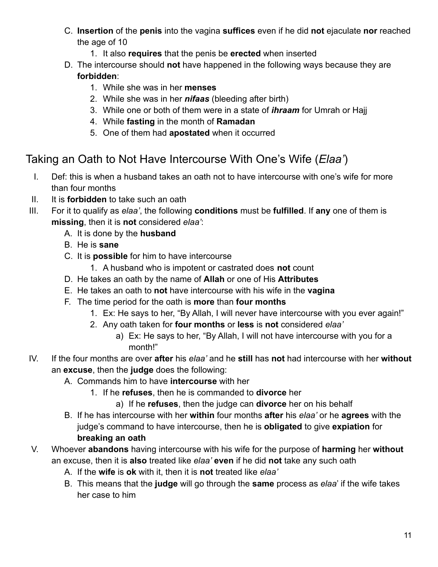- C. **Insertion** of the **penis** into the vagina **suffices** even if he did **not** ejaculate **nor** reached the age of 10
	- 1. It also **requires** that the penis be **erected** when inserted
- D. The intercourse should **not** have happened in the following ways because they are **forbidden**:
	- 1. While she was in her **menses**
	- 2. While she was in her *nifaas* (bleeding after birth)
	- 3. While one or both of them were in a state of *ihraam* for Umrah or Hajj
	- 4. While **fasting** in the month of **Ramadan**
	- 5. One of them had **apostated** when it occurred

## <span id="page-10-0"></span>Taking an Oath to Not Have Intercourse With One's Wife (*Elaa'*)

- I. Def: this is when a husband takes an oath not to have intercourse with one's wife for more than four months
- II. It is **forbidden** to take such an oath
- III. For it to qualify as *elaa'*, the following **conditions** must be **fulfilled**. If **any** one of them is **missing**, then it is **not** considered *elaa'*:
	- A. It is done by the **husband**
	- B. He is **sane**
	- C. It is **possible** for him to have intercourse
		- 1. A husband who is impotent or castrated does **not** count
	- D. He takes an oath by the name of **Allah** or one of His **Attributes**
	- E. He takes an oath to **not** have intercourse with his wife in the **vagina**
	- F. The time period for the oath is **more** than **four months**
		- 1. Ex: He says to her, "By Allah, I will never have intercourse with you ever again!"
		- 2. Any oath taken for **four months** or **less** is **not** considered *elaa'*
			- a) Ex: He says to her, "By Allah, I will not have intercourse with you for a month!"
- IV. If the four months are over **after** his *elaa'* and he **still** has **not** had intercourse with her **without** an **excuse**, then the **judge** does the following:
	- A. Commands him to have **intercourse** with her
		- 1. If he **refuses**, then he is commanded to **divorce** her
			- a) If he **refuses**, then the judge can **divorce** her on his behalf
	- B. If he has intercourse with her **within** four months **after** his *elaa'* or he **agrees** with the judge's command to have intercourse, then he is **obligated** to give **expiation** for **breaking an oath**
- V. Whoever **abandons** having intercourse with his wife for the purpose of **harming** her **without** an excuse, then it is **also** treated like *elaa'* **even** if he did **not** take any such oath
	- A. If the **wife** is **ok** with it, then it is **not** treated like *elaa'*
	- B. This means that the **judge** will go through the **same** process as *elaa*' if the wife takes her case to him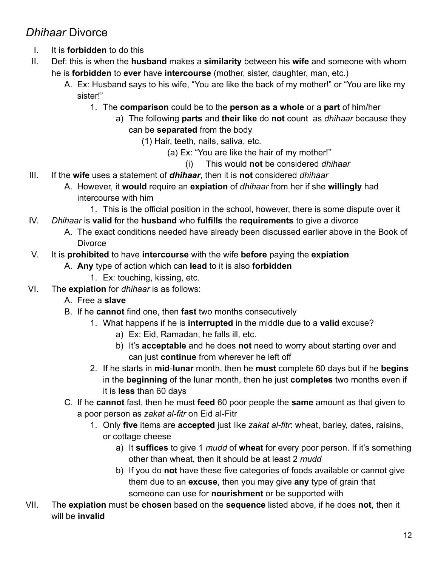## <span id="page-11-0"></span>*Dhihaar* Divorce

- I. It is **forbidden** to do this
- II. Def: this is when the **husband** makes a **similarity** between his **wife** and someone with whom he is **forbidden** to **ever** have **intercourse** (mother, sister, daughter, man, etc.)
	- A. Ex: Husband says to his wife, "You are like the back of my mother!" or "You are like my sister!"
		- 1. The **comparison** could be to the **person as a whole** or a **part** of him/her
			- a) The following **parts** and **their like** do **not** count as *dhihaar* because they can be **separated** from the body
				- (1) Hair, teeth, nails, saliva, etc.
					- (a) Ex: "You are like the hair of my mother!"
						- (i) This would **not** be considered *dhihaar*
- III. If the **wife** uses a statement of *dhihaar*, then it is **not** considered *dhihaar*
	- A. However, it **would** require an **expiation** of *dhihaar* from her if she **willingly** had intercourse with him
		- 1. This is the official position in the school, however, there is some dispute over it
- IV. *Dhihaar* is **valid** for the **husband** who **fulfills** the **requirements** to give a divorce
	- A. The exact conditions needed have already been discussed earlier above in the Book of **Divorce**
- V. It is **prohibited** to have **intercourse** with the wife **before** paying the **expiation**
	- A. **Any** type of action which can **lead** to it is also **forbidden**
		- 1. Ex: touching, kissing, etc.
- VI. The **expiation** for *dhihaar* is as follows:
	- A. Free a **slave**
	- B. If he **cannot** find one, then **fast** two months consecutively
		- 1. What happens if he is **interrupted** in the middle due to a **valid** excuse?
			- a) Ex: Eid, Ramadan, he falls ill, etc.
			- b) It's **acceptable** and he does **not** need to worry about starting over and can just **continue** from wherever he left off
		- 2. If he starts in **mid**-**lunar** month, then he **must** complete 60 days but if he **begins** in the **beginning** of the lunar month, then he just **completes** two months even if it is **less** than 60 days
	- C. If he **cannot** fast, then he must **feed** 60 poor people the **same** amount as that given to a poor person as *zakat al-fitr* on Eid al-Fitr
		- 1. Only **five** items are **accepted** just like *zakat al-fitr*: wheat, barley, dates, raisins, or cottage cheese
			- a) It **suffices** to give 1 *mudd* of **wheat** for every poor person. If it's something other than wheat, then it should be at least 2 *mudd*
			- b) If you do **not** have these five categories of foods available or cannot give them due to an **excuse**, then you may give **any** type of grain that someone can use for **nourishment** or be supported with
- VII. The **expiation** must be **chosen** based on the **sequence** listed above, if he does **not**, then it will be **invalid**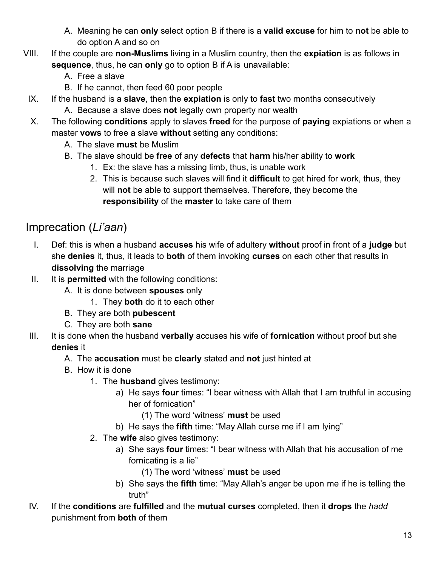- A. Meaning he can **only** select option B if there is a **valid excuse** for him to **not** be able to do option A and so on
- VIII. If the couple are **non-Muslims** living in a Muslim country, then the **expiation** is as follows in **sequence**, thus, he can **only** go to option B if A is unavailable:
	- A. Free a slave
	- B. If he cannot, then feed 60 poor people
	- IX. If the husband is a **slave**, then the **expiation** is only to **fast** two months consecutively
		- A. Because a slave does **not** legally own property nor wealth
	- X. The following **conditions** apply to slaves **freed** for the purpose of **paying** expiations or when a master **vows** to free a slave **without** setting any conditions:
		- A. The slave **must** be Muslim
		- B. The slave should be **free** of any **defects** that **harm** his/her ability to **work**
			- 1. Ex: the slave has a missing limb, thus, is unable work
			- 2. This is because such slaves will find it **difficult** to get hired for work, thus, they will **not** be able to support themselves. Therefore, they become the **responsibility** of the **master** to take care of them

## <span id="page-12-0"></span>Imprecation (*Li'aan*)

- I. Def: this is when a husband **accuses** his wife of adultery **without** proof in front of a **judge** but she **denies** it, thus, it leads to **both** of them invoking **curses** on each other that results in **dissolving** the marriage
- II. It is **permitted** with the following conditions:
	- A. It is done between **spouses** only
		- 1. They **both** do it to each other
	- B. They are both **pubescent**
	- C. They are both **sane**
- III. It is done when the husband **verbally** accuses his wife of **fornication** without proof but she **denies** it
	- A. The **accusation** must be **clearly** stated and **not** just hinted at
	- B. How it is done
		- 1. The **husband** gives testimony:
			- a) He says **four** times: "I bear witness with Allah that I am truthful in accusing her of fornication"
				- (1) The word 'witness' **must** be used
			- b) He says the **fifth** time: "May Allah curse me if I am lying"
		- 2. The **wife** also gives testimony:
			- a) She says **four** times: "I bear witness with Allah that his accusation of me fornicating is a lie"
				- (1) The word 'witness' **must** be used
			- b) She says the **fifth** time: "May Allah's anger be upon me if he is telling the truth"
- IV. If the **conditions** are **fulfilled** and the **mutual curses** completed, then it **drops** the *hadd* punishment from **both** of them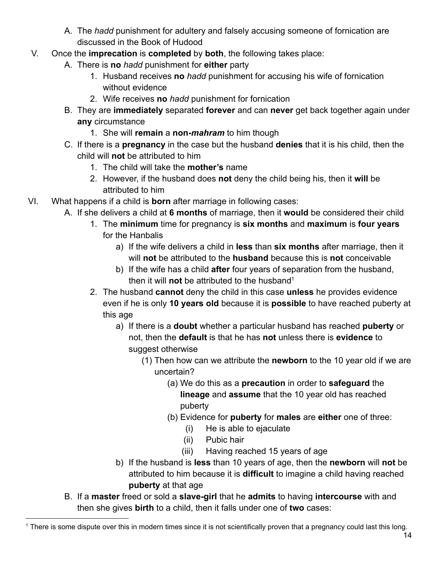- A. The *hadd* punishment for adultery and falsely accusing someone of fornication are discussed in the Book of Hudood
- V. Once the **imprecation** is **completed** by **both**, the following takes place:
	- A. There is **no** *hadd* punishment for **either** party
		- 1. Husband receives **no** *hadd* punishment for accusing his wife of fornication without evidence
		- 2. Wife receives **no** *hadd* punishment for fornication
	- B. They are **immediately** separated **forever** and can **never** get back together again under **any** circumstance
		- 1. She will **remain** a **non-***mahram* to him though
	- C. If there is a **pregnancy** in the case but the husband **denies** that it is his child, then the child will **not** be attributed to him
		- 1. The child will take the **mother's** name
		- 2. However, if the husband does **not** deny the child being his, then it **will** be attributed to him
- VI. What happens if a child is **born** after marriage in following cases:
	- A. If she delivers a child at **6 months** of marriage, then it **would** be considered their child
		- 1. The **minimum** time for pregnancy is **six months** and **maximum** is **four years** for the Hanbalis
			- a) If the wife delivers a child in **less** than **six months** after marriage, then it will **not** be attributed to the **husband** because this is **not** conceivable
			- b) If the wife has a child **after** four years of separation from the husband, then it will **not** be attributed to the husband<sup>1</sup>
		- 2. The husband **cannot** deny the child in this case **unless** he provides evidence even if he is only **10 years old** because it is **possible** to have reached puberty at this age
			- a) If there is a **doubt** whether a particular husband has reached **puberty** or not, then the **default** is that he has **not** unless there is **evidence** to suggest otherwise
				- (1) Then how can we attribute the **newborn** to the 10 year old if we are uncertain?
					- (a) We do this as a **precaution** in order to **safeguard** the **lineage** and **assume** that the 10 year old has reached puberty
					- (b) Evidence for **puberty** for **males** are **either** one of three:
						- (i) He is able to ejaculate
						- (ii) Pubic hair
						- (iii) Having reached 15 years of age
			- b) If the husband is **less** than 10 years of age, then the **newborn** will **not** be attributed to him because it is **difficult** to imagine a child having reached **puberty** at that age
	- B. If a **master** freed or sold a **slave-girl** that he **admits** to having **intercourse** with and then she gives **birth** to a child, then it falls under one of **two** cases:

<sup>&</sup>lt;sup>1</sup> There is some dispute over this in modern times since it is not scientifically proven that a pregnancy could last this long.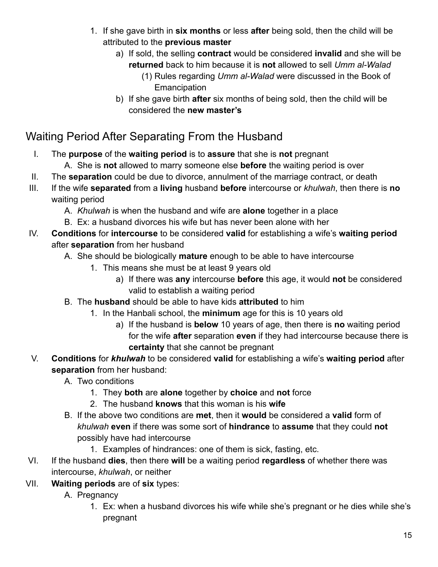- 1. If she gave birth in **six months** or less **after** being sold, then the child will be attributed to the **previous master**
	- a) If sold, the selling **contract** would be considered **invalid** and she will be **returned** back to him because it is **not** allowed to sell *Umm al-Walad*
		- (1) Rules regarding *Umm al-Walad* were discussed in the Book of **Emancipation**
	- b) If she gave birth **after** six months of being sold, then the child will be considered the **new master's**

## <span id="page-14-0"></span>Waiting Period After Separating From the Husband

- I. The **purpose** of the **waiting period** is to **assure** that she is **not** pregnant
	- A. She is **not** allowed to marry someone else **before** the waiting period is over
- II. The **separation** could be due to divorce, annulment of the marriage contract, or death
- III. If the wife **separated** from a **living** husband **before** intercourse or *khulwah*, then there is **no** waiting period
	- A. *Khulwah* is when the husband and wife are **alone** together in a place
	- B. Ex: a husband divorces his wife but has never been alone with her
- IV. **Conditions** for **intercourse** to be considered **valid** for establishing a wife's **waiting period** after **separation** from her husband
	- A. She should be biologically **mature** enough to be able to have intercourse
		- 1. This means she must be at least 9 years old
			- a) If there was **any** intercourse **before** this age, it would **not** be considered valid to establish a waiting period
	- B. The **husband** should be able to have kids **attributed** to him
		- 1. In the Hanbali school, the **minimum** age for this is 10 years old
			- a) If the husband is **below** 10 years of age, then there is **no** waiting period for the wife **after** separation **even** if they had intercourse because there is **certainty** that she cannot be pregnant
- V. **Conditions** for *khulwah* to be considered **valid** for establishing a wife's **waiting period** after **separation** from her husband:
	- A. Two conditions
		- 1. They **both** are **alone** together by **choice** and **not** force
		- 2. The husband **knows** that this woman is his **wife**
	- B. If the above two conditions are **met**, then it **would** be considered a **valid** form of *khulwah* **even** if there was some sort of **hindrance** to **assume** that they could **not** possibly have had intercourse
		- 1. Examples of hindrances: one of them is sick, fasting, etc.
- VI. If the husband **dies**, then there **will** be a waiting period **regardless** of whether there was intercourse, *khulwah*, or neither
- VII. **Waiting periods** are of **six** types:
	- A. Pregnancy
		- 1. Ex: when a husband divorces his wife while she's pregnant or he dies while she's pregnant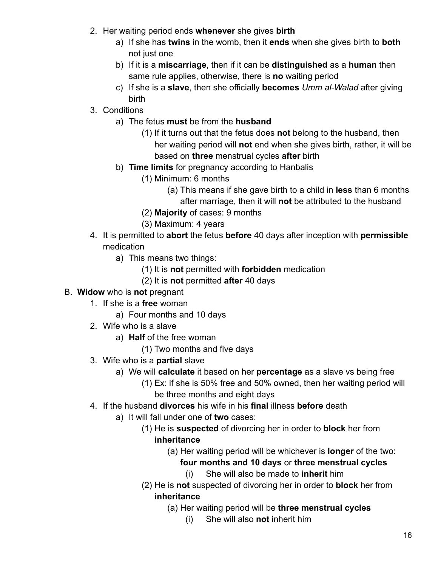- 2. Her waiting period ends **whenever** she gives **birth**
	- a) If she has **twins** in the womb, then it **ends** when she gives birth to **both** not just one
	- b) If it is a **miscarriage**, then if it can be **distinguished** as a **human** then same rule applies, otherwise, there is **no** waiting period
	- c) If she is a **slave**, then she officially **becomes** *Umm al-Walad* after giving birth
- 3. Conditions
	- a) The fetus **must** be from the **husband**
		- (1) If it turns out that the fetus does **not** belong to the husband, then her waiting period will **not** end when she gives birth, rather, it will be based on **three** menstrual cycles **after** birth
	- b) **Time limits** for pregnancy according to Hanbalis
		- (1) Minimum: 6 months
			- (a) This means if she gave birth to a child in **less** than 6 months after marriage, then it will **not** be attributed to the husband
		- (2) **Majority** of cases: 9 months
		- (3) Maximum: 4 years
- 4. It is permitted to **abort** the fetus **before** 40 days after inception with **permissible** medication
	- a) This means two things:
		- (1) It is **not** permitted with **forbidden** medication
		- (2) It is **not** permitted **after** 40 days
- B. **Widow** who is **not** pregnant
	- 1. If she is a **free** woman
		- a) Four months and 10 days
	- 2. Wife who is a slave
		- a) **Half** of the free woman
			- (1) Two months and five days
	- 3. Wife who is a **partial** slave
		- a) We will **calculate** it based on her **percentage** as a slave vs being free
			- (1) Ex: if she is 50% free and 50% owned, then her waiting period will be three months and eight days
	- 4. If the husband **divorces** his wife in his **final** illness **before** death
		- a) It will fall under one of **two** cases:
			- (1) He is **suspected** of divorcing her in order to **block** her from **inheritance**
				- (a) Her waiting period will be whichever is **longer** of the two:

#### **four months and 10 days** or **three menstrual cycles**

- (i) She will also be made to **inherit** him
- (2) He is **not** suspected of divorcing her in order to **block** her from **inheritance**
	- (a) Her waiting period will be **three menstrual cycles**
		- (i) She will also **not** inherit him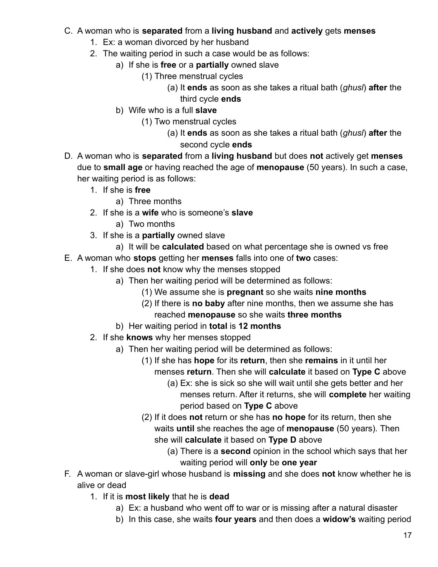#### C. A woman who is **separated** from a **living husband** and **actively** gets **menses**

- 1. Ex: a woman divorced by her husband
- 2. The waiting period in such a case would be as follows:
	- a) If she is **free** or a **partially** owned slave
		- (1) Three menstrual cycles
			- (a) It **ends** as soon as she takes a ritual bath (*ghusl*) **after** the third cycle **ends**
	- b) Wife who is a full **slave**
		- (1) Two menstrual cycles
			- (a) It **ends** as soon as she takes a ritual bath (*ghusl*) **after** the second cycle **ends**
- D. A woman who is **separated** from a **living husband** but does **not** actively get **menses** due to **small age** or having reached the age of **menopause** (50 years). In such a case, her waiting period is as follows:
	- 1. If she is **free**
		- a) Three months
	- 2. If she is a **wife** who is someone's **slave**
		- a) Two months
	- 3. If she is a **partially** owned slave
		- a) It will be **calculated** based on what percentage she is owned vs free
- E. A woman who **stops** getting her **menses** falls into one of **two** cases:
	- 1. If she does **not** know why the menses stopped
		- a) Then her waiting period will be determined as follows:
			- (1) We assume she is **pregnant** so she waits **nine months**
			- (2) If there is **no baby** after nine months, then we assume she has reached **menopause** so she waits **three months**
		- b) Her waiting period in **total** is **12 months**
	- 2. If she **knows** why her menses stopped
		- a) Then her waiting period will be determined as follows:
			- (1) If she has **hope** for its **return**, then she **remains** in it until her menses **return**. Then she will **calculate** it based on **Type C** above
				- (a) Ex: she is sick so she will wait until she gets better and her menses return. After it returns, she will **complete** her waiting period based on **Type C** above
			- (2) If it does **not** return or she has **no hope** for its return, then she waits **until** she reaches the age of **menopause** (50 years). Then she will **calculate** it based on **Type D** above
				- (a) There is a **second** opinion in the school which says that her waiting period will **only** be **one year**
- F. A woman or slave-girl whose husband is **missing** and she does **not** know whether he is alive or dead
	- 1. If it is **most likely** that he is **dead**
		- a) Ex: a husband who went off to war or is missing after a natural disaster
		- b) In this case, she waits **four years** and then does a **widow's** waiting period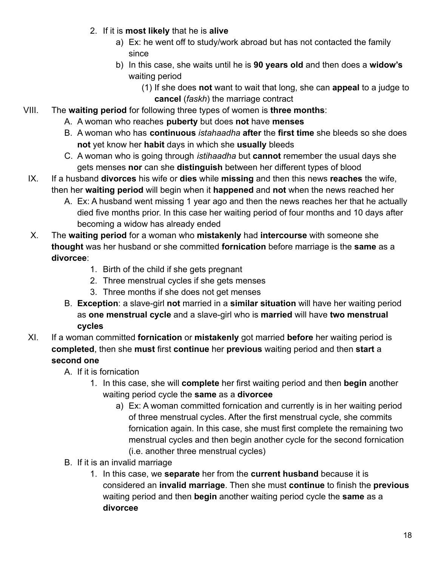- 2. If it is **most likely** that he is **alive**
	- a) Ex: he went off to study/work abroad but has not contacted the family since
	- b) In this case, she waits until he is **90 years old** and then does a **widow's** waiting period
		- (1) If she does **not** want to wait that long, she can **appeal** to a judge to **cancel** (*faskh*) the marriage contract
- VIII. The **waiting period** for following three types of women is **three months**:
	- A. A woman who reaches **puberty** but does **not** have **menses**
	- B. A woman who has **continuous** *istahaadha* **after** the **first time** she bleeds so she does **not** yet know her **habit** days in which she **usually** bleeds
	- C. A woman who is going through *istihaadha* but **cannot** remember the usual days she gets menses **nor** can she **distinguish** between her different types of blood
	- IX. If a husband **divorces** his wife or **dies** while **missing** and then this news **reaches** the wife, then her **waiting period** will begin when it **happened** and **not** when the news reached her
		- A. Ex: A husband went missing 1 year ago and then the news reaches her that he actually died five months prior. In this case her waiting period of four months and 10 days after becoming a widow has already ended
	- X. The **waiting period** for a woman who **mistakenly** had **intercourse** with someone she **thought** was her husband or she committed **fornication** before marriage is the **same** as a **divorcee**:
		- 1. Birth of the child if she gets pregnant
		- 2. Three menstrual cycles if she gets menses
		- 3. Three months if she does not get menses
		- B. **Exception**: a slave-girl **not** married in a **similar situation** will have her waiting period as **one menstrual cycle** and a slave-girl who is **married** will have **two menstrual cycles**
	- XI. If a woman committed **fornication** or **mistakenly** got married **before** her waiting period is **completed**, then she **must** first **continue** her **previous** waiting period and then **start** a **second one**
		- A. If it is fornication
			- 1. In this case, she will **complete** her first waiting period and then **begin** another waiting period cycle the **same** as a **divorcee**
				- a) Ex: A woman committed fornication and currently is in her waiting period of three menstrual cycles. After the first menstrual cycle, she commits fornication again. In this case, she must first complete the remaining two menstrual cycles and then begin another cycle for the second fornication (i.e. another three menstrual cycles)
		- B. If it is an invalid marriage
			- 1. In this case, we **separate** her from the **current husband** because it is considered an **invalid marriage**. Then she must **continue** to finish the **previous** waiting period and then **begin** another waiting period cycle the **same** as a **divorcee**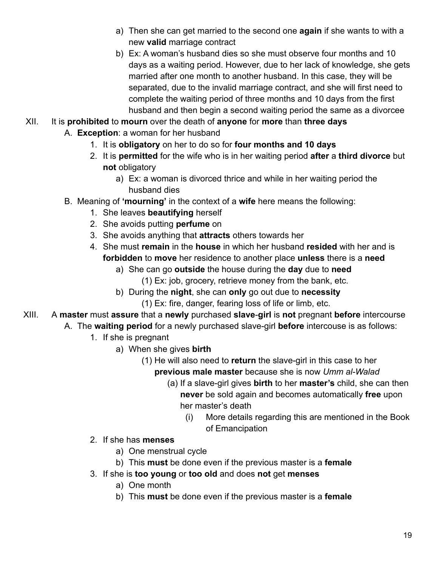- a) Then she can get married to the second one **again** if she wants to with a new **valid** marriage contract
- b) Ex: A woman's husband dies so she must observe four months and 10 days as a waiting period. However, due to her lack of knowledge, she gets married after one month to another husband. In this case, they will be separated, due to the invalid marriage contract, and she will first need to complete the waiting period of three months and 10 days from the first husband and then begin a second waiting period the same as a divorcee
- XII. It is **prohibited** to **mourn** over the death of **anyone** for **more** than **three days**
	- A. **Exception**: a woman for her husband
		- 1. It is **obligatory** on her to do so for **four months and 10 days**
		- 2. It is **permitted** for the wife who is in her waiting period **after** a **third divorce** but **not** obligatory
			- a) Ex: a woman is divorced thrice and while in her waiting period the husband dies
	- B. Meaning of **'mourning'** in the context of a **wife** here means the following:
		- 1. She leaves **beautifying** herself
		- 2. She avoids putting **perfume** on
		- 3. She avoids anything that **attracts** others towards her
		- 4. She must **remain** in the **house** in which her husband **resided** with her and is **forbidden** to **move** her residence to another place **unless** there is a **need**
			- a) She can go **outside** the house during the **day** due to **need**
				- (1) Ex: job, grocery, retrieve money from the bank, etc.
			- b) During the **night**, she can **only** go out due to **necessity**
				- (1) Ex: fire, danger, fearing loss of life or limb, etc.
- XIII. A **master** must **assure** that a **newly** purchased **slave**-**girl** is **not** pregnant **before** intercourse
	- A. The **waiting period** for a newly purchased slave-girl **before** intercouse is as follows:
		- 1. If she is pregnant
			- a) When she gives **birth**
				- (1) He will also need to **return** the slave-girl in this case to her **previous male master** because she is now *Umm al-Walad*
					- (a) If a slave-girl gives **birth** to her **master's** child, she can then **never** be sold again and becomes automatically **free** upon her master's death
						- (i) More details regarding this are mentioned in the Book of Emancipation
		- 2. If she has **menses**
			- a) One menstrual cycle
			- b) This **must** be done even if the previous master is a **female**
		- 3. If she is **too young** or **too old** and does **not** get **menses**
			- a) One month
			- b) This **must** be done even if the previous master is a **female**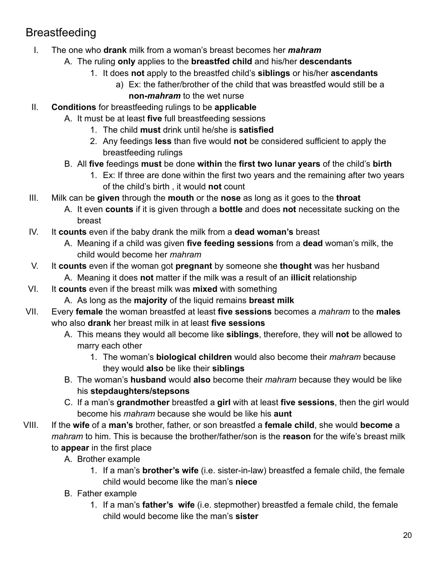## <span id="page-19-0"></span>Breastfeeding

- I. The one who **drank** milk from a woman's breast becomes her *mahram*
	- A. The ruling **only** applies to the **breastfed child** and his/her **descendants**
		- 1. It does **not** apply to the breastfed child's **siblings** or his/her **ascendants**
			- a) Ex: the father/brother of the child that was breastfed would still be a **non-***mahram* to the wet nurse
- II. **Conditions** for breastfeeding rulings to be **applicable**
	- A. It must be at least **five** full breastfeeding sessions
		- 1. The child **must** drink until he/she is **satisfied**
		- 2. Any feedings **less** than five would **not** be considered sufficient to apply the breastfeeding rulings
	- B. All **five** feedings **must** be done **within** the **first two lunar years** of the child's **birth**
		- 1. Ex: If three are done within the first two years and the remaining after two years of the child's birth , it would **not** count
- III. Milk can be **given** through the **mouth** or the **nose** as long as it goes to the **throat**
	- A. It even **counts** if it is given through a **bottle** and does **not** necessitate sucking on the breast
- IV. It **counts** even if the baby drank the milk from a **dead woman's** breast
	- A. Meaning if a child was given **five feeding sessions** from a **dead** woman's milk, the child would become her *mahram*
- V. It **counts** even if the woman got **pregnant** by someone she **thought** was her husband
	- A. Meaning it does **not** matter if the milk was a result of an **illicit** relationship
- VI. It **counts** even if the breast milk was **mixed** with something
	- A. As long as the **majority** of the liquid remains **breast milk**
- VII. Every **female** the woman breastfed at least **five sessions** becomes a *mahram* to the **males** who also **drank** her breast milk in at least **five sessions**
	- A. This means they would all become like **siblings**, therefore, they will **not** be allowed to marry each other
		- 1. The woman's **biological children** would also become their *mahram* because they would **also** be like their **siblings**
	- B. The woman's **husband** would **also** become their *mahram* because they would be like his **stepdaughters/stepsons**
	- C. If a man's **grandmother** breastfed a **girl** with at least **five sessions**, then the girl would become his *mahram* because she would be like his **aunt**
- VIII. If the **wife** of a **man's** brother, father, or son breastfed a **female child**, she would **become** a *mahram* to him. This is because the brother/father/son is the **reason** for the wife's breast milk to **appear** in the first place
	- A. Brother example
		- 1. If a man's **brother's wife** (i.e. sister-in-law) breastfed a female child, the female child would become like the man's **niece**
	- B. Father example
		- 1. If a man's **father's wife** (i.e. stepmother) breastfed a female child, the female child would become like the man's **sister**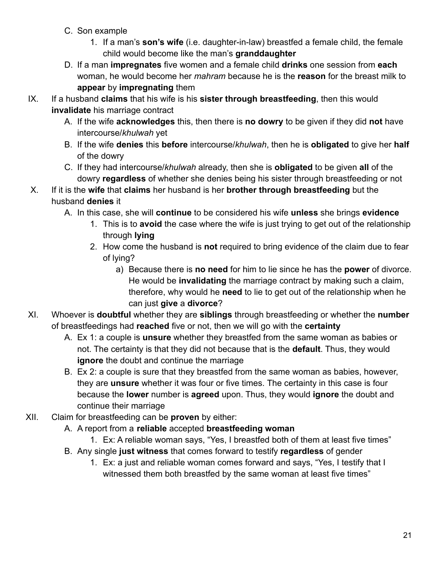- C. Son example
	- 1. If a man's **son's wife** (i.e. daughter-in-law) breastfed a female child, the female child would become like the man's **granddaughter**
- D. If a man **impregnates** five women and a female child **drinks** one session from **each** woman, he would become her *mahram* because he is the **reason** for the breast milk to **appear** by **impregnating** them
- IX. If a husband **claims** that his wife is his **sister through breastfeeding**, then this would **invalidate** his marriage contract
	- A. If the wife **acknowledges** this, then there is **no dowry** to be given if they did **not** have intercourse/*khulwah* yet
	- B. If the wife **denies** this **before** intercourse/*khulwah*, then he is **obligated** to give her **half** of the dowry
	- C. If they had intercourse/*khulwah* already, then she is **obligated** to be given **all** of the dowry **regardless** of whether she denies being his sister through breastfeeding or not
- X. If it is the **wife** that **claims** her husband is her **brother through breastfeeding** but the husband **denies** it
	- A. In this case, she will **continue** to be considered his wife **unless** she brings **evidence**
		- 1. This is to **avoid** the case where the wife is just trying to get out of the relationship through **lying**
		- 2. How come the husband is **not** required to bring evidence of the claim due to fear of lying?
			- a) Because there is **no need** for him to lie since he has the **power** of divorce. He would be **invalidating** the marriage contract by making such a claim, therefore, why would he **need** to lie to get out of the relationship when he can just **give** a **divorce**?
- XI. Whoever is **doubtful** whether they are **siblings** through breastfeeding or whether the **number** of breastfeedings had **reached** five or not, then we will go with the **certainty**
	- A. Ex 1: a couple is **unsure** whether they breastfed from the same woman as babies or not. The certainty is that they did not because that is the **default**. Thus, they would **ignore** the doubt and continue the marriage
	- B. Ex 2: a couple is sure that they breastfed from the same woman as babies, however, they are **unsure** whether it was four or five times. The certainty in this case is four because the **lower** number is **agreed** upon. Thus, they would **ignore** the doubt and continue their marriage
- XII. Claim for breastfeeding can be **proven** by either:
	- A. A report from a **reliable** accepted **breastfeeding woman**
		- 1. Ex: A reliable woman says, "Yes, I breastfed both of them at least five times"
	- B. Any single **just witness** that comes forward to testify **regardless** of gender
		- 1. Ex: a just and reliable woman comes forward and says, "Yes, I testify that I witnessed them both breastfed by the same woman at least five times"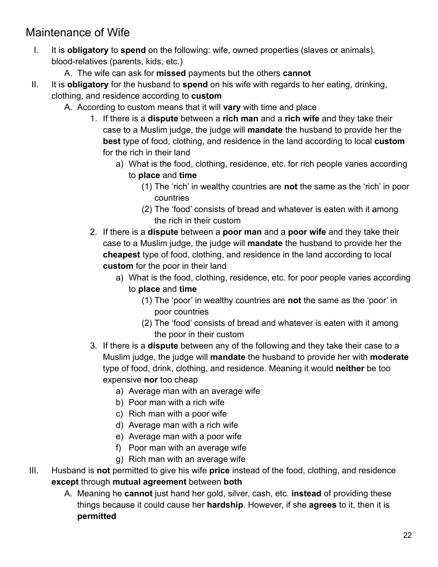## <span id="page-21-0"></span>Maintenance of Wife

- I. It is **obligatory** to **spend** on the following: wife, owned properties (slaves or animals), blood-relatives (parents, kids, etc.)
	- A. The wife can ask for **missed** payments but the others **cannot**
- II. It is **obligatory** for the husband to **spend** on his wife with regards to her eating, drinking, clothing, and residence according to **custom**
	- A. According to custom means that it will **vary** with time and place
		- 1. If there is a **dispute** between a **rich man** and a **rich wife** and they take their case to a Muslim judge, the judge will **mandate** the husband to provide her the **best** type of food, clothing, and residence in the land according to local **custom** for the rich in their land
			- a) What is the food, clothing, residence, etc. for rich people varies according to **place** and **time**
				- (1) The 'rich' in wealthy countries are **not** the same as the 'rich' in poor countries
				- (2) The 'food' consists of bread and whatever is eaten with it among the rich in their custom
		- 2. If there is a **dispute** between a **poor man** and a **poor wife** and they take their case to a Muslim judge, the judge will **mandate** the husband to provide her the **cheapest** type of food, clothing, and residence in the land according to local **custom** for the poor in their land
			- a) What is the food, clothing, residence, etc. for poor people varies according to **place** and **time**
				- (1) The 'poor' in wealthy countries are **not** the same as the 'poor' in poor countries
				- (2) The 'food' consists of bread and whatever is eaten with it among the poor in their custom
		- 3. If there is a **dispute** between any of the following and they take their case to a Muslim judge, the judge will **mandate** the husband to provide her with **moderate** type of food, drink, clothing, and residence. Meaning it would **neither** be too expensive **nor** too cheap
			- a) Average man with an average wife
			- b) Poor man with a rich wife
			- c) Rich man with a poor wife
			- d) Average man with a rich wife
			- e) Average man with a poor wife
			- f) Poor man with an average wife
			- g) Rich man with an average wife
- III. Husband is **not** permitted to give his wife **price** instead of the food, clothing, and residence **except** through **mutual agreement** between **both**
	- A. Meaning he **cannot** just hand her gold, silver, cash, etc. **instead** of providing these things because it could cause her **hardship**. However, if she **agrees** to it, then it is **permitted**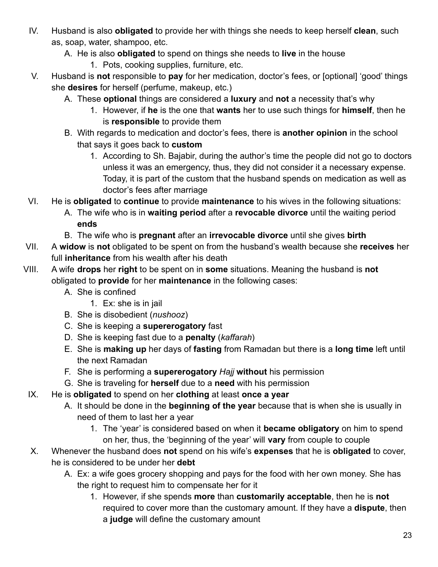- IV. Husband is also **obligated** to provide her with things she needs to keep herself **clean**, such as, soap, water, shampoo, etc.
	- A. He is also **obligated** to spend on things she needs to **live** in the house
		- 1. Pots, cooking supplies, furniture, etc.
- V. Husband is **not** responsible to **pay** for her medication, doctor's fees, or [optional] 'good' things she **desires** for herself (perfume, makeup, etc.)
	- A. These **optional** things are considered a **luxury** and **not** a necessity that's why
		- 1. However, if **he** is the one that **wants** her to use such things for **himself**, then he is **responsible** to provide them
	- B. With regards to medication and doctor's fees, there is **another opinion** in the school that says it goes back to **custom**
		- 1. According to Sh. Bajabir, during the author's time the people did not go to doctors unless it was an emergency, thus, they did not consider it a necessary expense. Today, it is part of the custom that the husband spends on medication as well as doctor's fees after marriage
- VI. He is **obligated** to **continue** to provide **maintenance** to his wives in the following situations:
	- A. The wife who is in **waiting period** after a **revocable divorce** until the waiting period **ends**
	- B. The wife who is **pregnant** after an **irrevocable divorce** until she gives **birth**
- VII. A **widow** is **not** obligated to be spent on from the husband's wealth because she **receives** her full **inheritance** from his wealth after his death
- VIII. A wife **drops** her **right** to be spent on in **some** situations. Meaning the husband is **not** obligated to **provide** for her **maintenance** in the following cases:
	- A. She is confined
		- 1. Ex: she is in jail
	- B. She is disobedient (*nushooz*)
	- C. She is keeping a **supererogatory** fast
	- D. She is keeping fast due to a **penalty** (*kaffarah*)
	- E. She is **making up** her days of **fasting** from Ramadan but there is a **long time** left until the next Ramadan
	- F. She is performing a **supererogatory** *Hajj* **without** his permission
	- G. She is traveling for **herself** due to a **need** with his permission
	- IX. He is **obligated** to spend on her **clothing** at least **once a year**
		- A. It should be done in the **beginning of the year** because that is when she is usually in need of them to last her a year
			- 1. The 'year' is considered based on when it **became obligatory** on him to spend on her, thus, the 'beginning of the year' will **vary** from couple to couple
	- X. Whenever the husband does **not** spend on his wife's **expenses** that he is **obligated** to cover, he is considered to be under her **debt**
		- A. Ex: a wife goes grocery shopping and pays for the food with her own money. She has the right to request him to compensate her for it
			- 1. However, if she spends **more** than **customarily acceptable**, then he is **not** required to cover more than the customary amount. If they have a **dispute**, then a **judge** will define the customary amount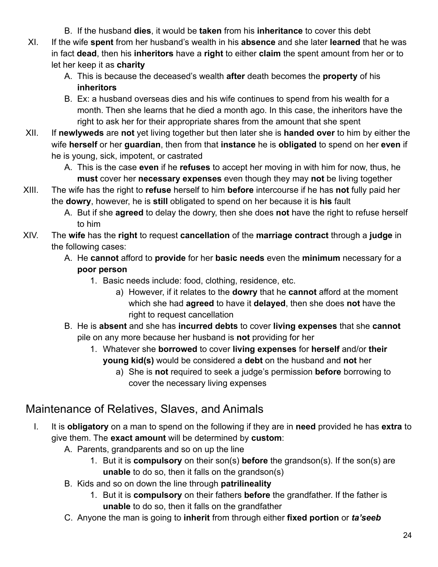- B. If the husband **dies**, it would be **taken** from his **inheritance** to cover this debt
- XI. If the wife **spent** from her husband's wealth in his **absence** and she later **learned** that he was in fact **dead**, then his **inheritors** have a **right** to either **claim** the spent amount from her or to let her keep it as **charity**
	- A. This is because the deceased's wealth **after** death becomes the **property** of his **inheritors**
	- B. Ex: a husband overseas dies and his wife continues to spend from his wealth for a month. Then she learns that he died a month ago. In this case, the inheritors have the right to ask her for their appropriate shares from the amount that she spent
- XII. If **newlyweds** are **not** yet living together but then later she is **handed over** to him by either the wife **herself** or her **guardian**, then from that **instance** he is **obligated** to spend on her **even** if he is young, sick, impotent, or castrated
	- A. This is the case **even** if he **refuses** to accept her moving in with him for now, thus, he **must** cover her **necessary expenses** even though they may **not** be living together
- XIII. The wife has the right to **refuse** herself to him **before** intercourse if he has **not** fully paid her the **dowry**, however, he is **still** obligated to spend on her because it is **his** fault
	- A. But if she **agreed** to delay the dowry, then she does **not** have the right to refuse herself to him
- XIV. The **wife** has the **right** to request **cancellation** of the **marriage contract** through a **judge** in the following cases:
	- A. He **cannot** afford to **provide** for her **basic needs** even the **minimum** necessary for a **poor person**
		- 1. Basic needs include: food, clothing, residence, etc.
			- a) However, if it relates to the **dowry** that he **cannot** afford at the moment which she had **agreed** to have it **delayed**, then she does **not** have the right to request cancellation
	- B. He is **absent** and she has **incurred debts** to cover **living expenses** that she **cannot** pile on any more because her husband is **not** providing for her
		- 1. Whatever she **borrowed** to cover **living expenses** for **herself** and/or **their young kid(s)** would be considered a **debt** on the husband and **not** her
			- a) She is **not** required to seek a judge's permission **before** borrowing to cover the necessary living expenses

### <span id="page-23-0"></span>Maintenance of Relatives, Slaves, and Animals

- I. It is **obligatory** on a man to spend on the following if they are in **need** provided he has **extra** to give them. The **exact amount** will be determined by **custom**:
	- A. Parents, grandparents and so on up the line
		- 1. But it is **compulsory** on their son(s) **before** the grandson(s). If the son(s) are **unable** to do so, then it falls on the grandson(s)
	- B. Kids and so on down the line through **patrilineality**
		- 1. But it is **compulsory** on their fathers **before** the grandfather. If the father is **unable** to do so, then it falls on the grandfather
	- C. Anyone the man is going to **inherit** from through either **fixed portion** or *ta'seeb*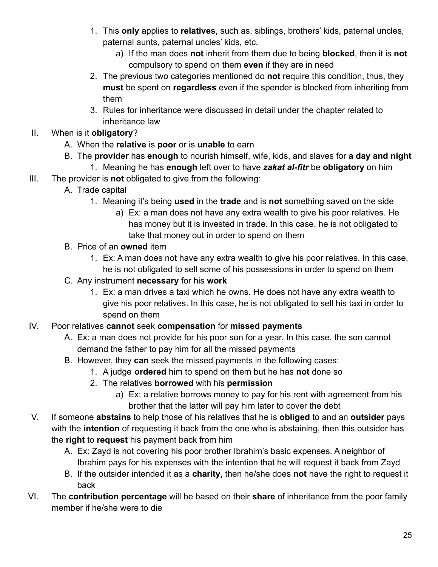- 1. This **only** applies to **relatives**, such as, siblings, brothers' kids, paternal uncles, paternal aunts, paternal uncles' kids, etc.
	- a) If the man does **not** inherit from them due to being **blocked**, then it is **not** compulsory to spend on them **even** if they are in need
- 2. The previous two categories mentioned do **not** require this condition, thus, they **must** be spent on **regardless** even if the spender is blocked from inheriting from them
- 3. Rules for inheritance were discussed in detail under the chapter related to inheritance law
- II. When is it **obligatory**?
	- A. When the **relative** is **poor** or is **unable** to earn
	- B. The **provider** has **enough** to nourish himself, wife, kids, and slaves for **a day and night**
		- 1. Meaning he has **enough** left over to have *zakat al-fitr* be **obligatory** on him
- III. The provider is **not** obligated to give from the following:
	- A. Trade capital
		- 1. Meaning it's being **used** in the **trade** and is **not** something saved on the side
			- a) Ex: a man does not have any extra wealth to give his poor relatives. He has money but it is invested in trade. In this case, he is not obligated to take that money out in order to spend on them
	- B. Price of an **owned** item
		- 1. Ex: A man does not have any extra wealth to give his poor relatives. In this case, he is not obligated to sell some of his possessions in order to spend on them
	- C. Any instrument **necessary** for his **work**
		- 1. Ex: a man drives a taxi which he owns. He does not have any extra wealth to give his poor relatives. In this case, he is not obligated to sell his taxi in order to spend on them
- IV. Poor relatives **cannot** seek **compensation** for **missed payments**
	- A. Ex: a man does not provide for his poor son for a year. In this case, the son cannot demand the father to pay him for all the missed payments
	- B. However, they **can** seek the missed payments in the following cases:
		- 1. A judge **ordered** him to spend on them but he has **not** done so
		- 2. The relatives **borrowed** with his **permission**
			- a) Ex: a relative borrows money to pay for his rent with agreement from his brother that the latter will pay him later to cover the debt
- V. If someone **abstains** to help those of his relatives that he is **obliged** to and an **outsider** pays with the **intention** of requesting it back from the one who is abstaining, then this outsider has the **right** to **request** his payment back from him
	- A. Ex: Zayd is not covering his poor brother Ibrahim's basic expenses. A neighbor of Ibrahim pays for his expenses with the intention that he will request it back from Zayd
	- B. If the outsider intended it as a **charity**, then he/she does **not** have the right to request it back
- VI. The **contribution percentage** will be based on their **share** of inheritance from the poor family member if he/she were to die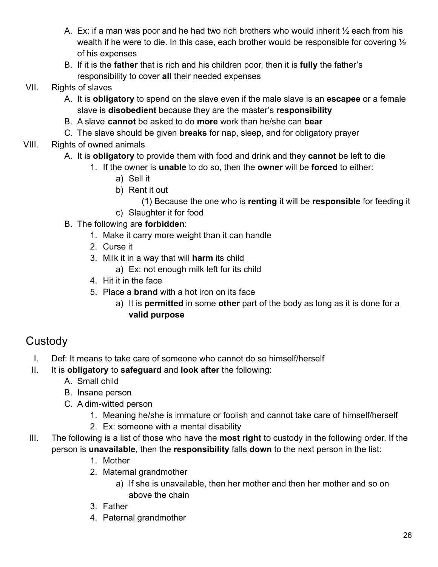- A. Ex: if a man was poor and he had two rich brothers who would inherit ½ each from his wealth if he were to die. In this case, each brother would be responsible for covering  $\frac{1}{2}$ of his expenses
- B. If it is the **father** that is rich and his children poor, then it is **fully** the father's responsibility to cover **all** their needed expenses

#### VII. Rights of slaves

- A. It is **obligatory** to spend on the slave even if the male slave is an **escapee** or a female slave is **disobedient** because they are the master's **responsibility**
- B. A slave **cannot** be asked to do **more** work than he/she can **bear**
- C. The slave should be given **breaks** for nap, sleep, and for obligatory prayer

#### VIII. Rights of owned animals

- A. It is **obligatory** to provide them with food and drink and they **cannot** be left to die
	- 1. If the owner is **unable** to do so, then the **owner** will be **forced** to either:
		- a) Sell it
		- b) Rent it out
			- (1) Because the one who is **renting** it will be **responsible** for feeding it
		- c) Slaughter it for food
- B. The following are **forbidden**:
	- 1. Make it carry more weight than it can handle
	- 2. Curse it
	- 3. Milk it in a way that will **harm** its child
		- a) Ex: not enough milk left for its child
	- 4. Hit it in the face
	- 5. Place a **brand** with a hot iron on its face
		- a) It is **permitted** in some **other** part of the body as long as it is done for a **valid purpose**

## <span id="page-25-0"></span>**Custody**

- I. Def: It means to take care of someone who cannot do so himself/herself
- II. It is **obligatory** to **safeguard** and **look after** the following:
	- A. Small child
	- B. Insane person
	- C. A dim-witted person
		- 1. Meaning he/she is immature or foolish and cannot take care of himself/herself
		- 2. Ex: someone with a mental disability
- III. The following is a list of those who have the **most right** to custody in the following order. If the person is **unavailable**, then the **responsibility** falls **down** to the next person in the list:
	- 1. Mother
	- 2. Maternal grandmother
		- a) If she is unavailable, then her mother and then her mother and so on above the chain
	- 3. Father
	- 4. Paternal grandmother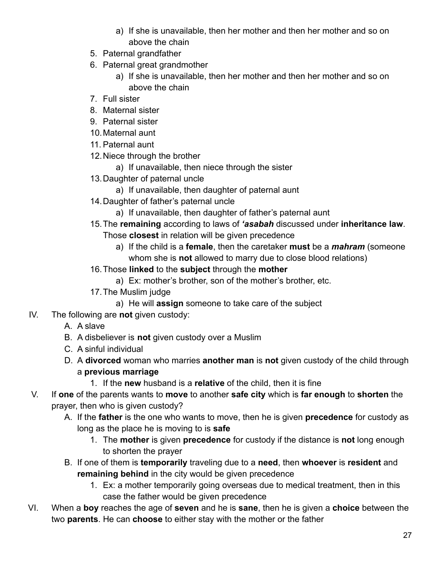- a) If she is unavailable, then her mother and then her mother and so on above the chain
- 5. Paternal grandfather
- 6. Paternal great grandmother
	- a) If she is unavailable, then her mother and then her mother and so on above the chain
- 7. Full sister
- 8. Maternal sister
- 9. Paternal sister
- 10.Maternal aunt
- 11. Paternal aunt
- 12.Niece through the brother
	- a) If unavailable, then niece through the sister
- 13.Daughter of paternal uncle
	- a) If unavailable, then daughter of paternal aunt
- 14.Daughter of father's paternal uncle
	- a) If unavailable, then daughter of father's paternal aunt
- 15.The **remaining** according to laws of *'asabah* discussed under **inheritance law**.
	- Those **closest** in relation will be given precedence
		- a) If the child is a **female**, then the caretaker **must** be a *mahram* (someone whom she is **not** allowed to marry due to close blood relations)
- 16.Those **linked** to the **subject** through the **mother**
	- a) Ex: mother's brother, son of the mother's brother, etc.
- 17.The Muslim judge
	- a) He will **assign** someone to take care of the subject
- IV. The following are **not** given custody:
	- A. A slave
	- B. A disbeliever is **not** given custody over a Muslim
	- C. A sinful individual
	- D. A **divorced** woman who marries **another man** is **not** given custody of the child through a **previous marriage**
		- 1. If the **new** husband is a **relative** of the child, then it is fine
- V. If **one** of the parents wants to **move** to another **safe city** which is **far enough** to **shorten** the prayer, then who is given custody?
	- A. If the **father** is the one who wants to move, then he is given **precedence** for custody as long as the place he is moving to is **safe**
		- 1. The **mother** is given **precedence** for custody if the distance is **not** long enough to shorten the prayer
	- B. If one of them is **temporarily** traveling due to a **need**, then **whoever** is **resident** and **remaining behind** in the city would be given precedence
		- 1. Ex: a mother temporarily going overseas due to medical treatment, then in this case the father would be given precedence
- VI. When a **boy** reaches the age of **seven** and he is **sane**, then he is given a **choice** between the two **parents**. He can **choose** to either stay with the mother or the father